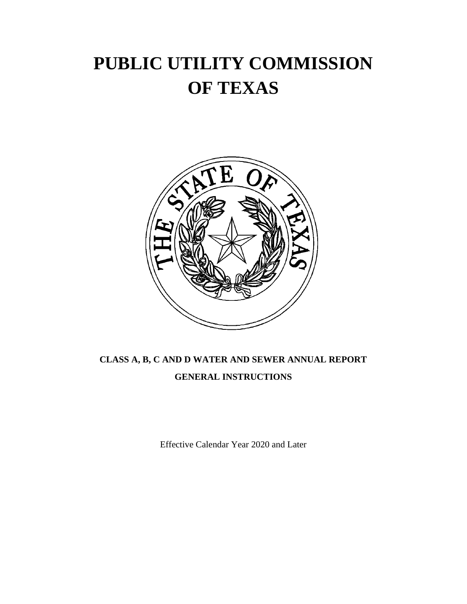# **PUBLIC UTILITY COMMISSION OF TEXAS**



## **CLASS A, B, C AND D WATER AND SEWER ANNUAL REPORT GENERAL INSTRUCTIONS**

Effective Calendar Year 2020 and Later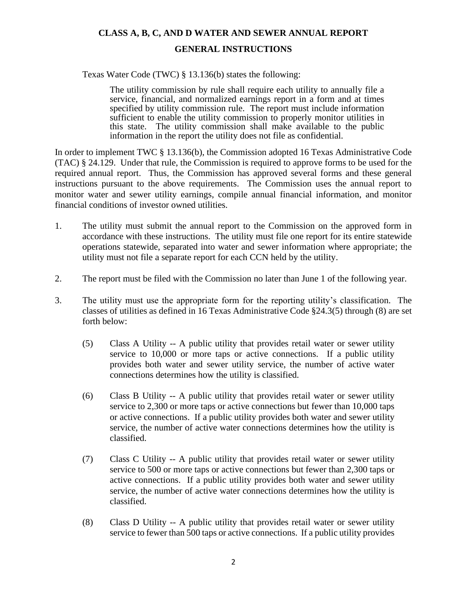### **CLASS A, B, C, AND D WATER AND SEWER ANNUAL REPORT**

#### **GENERAL INSTRUCTIONS**

Texas Water Code (TWC) § 13.136(b) states the following:

The utility commission by rule shall require each utility to annually file a service, financial, and normalized earnings report in a form and at times specified by utility commission rule. The report must include information sufficient to enable the utility commission to properly monitor utilities in this state. The utility commission shall make available to the public information in the report the utility does not file as confidential.

In order to implement TWC § 13.136(b), the Commission adopted 16 Texas Administrative Code (TAC) § 24.129. Under that rule, the Commission is required to approve forms to be used for the required annual report. Thus, the Commission has approved several forms and these general instructions pursuant to the above requirements. The Commission uses the annual report to monitor water and sewer utility earnings, compile annual financial information, and monitor financial conditions of investor owned utilities.

- 1. The utility must submit the annual report to the Commission on the approved form in accordance with these instructions. The utility must file one report for its entire statewide operations statewide, separated into water and sewer information where appropriate; the utility must not file a separate report for each CCN held by the utility.
- 2. The report must be filed with the Commission no later than June 1 of the following year.
- 3. The utility must use the appropriate form for the reporting utility's classification. The classes of utilities as defined in 16 Texas Administrative Code §24.3(5) through (8) are set forth below:
	- (5) Class A Utility -- A public utility that provides retail water or sewer utility service to 10,000 or more taps or active connections. If a public utility provides both water and sewer utility service, the number of active water connections determines how the utility is classified.
	- (6) Class B Utility -- A public utility that provides retail water or sewer utility service to 2,300 or more taps or active connections but fewer than 10,000 taps or active connections. If a public utility provides both water and sewer utility service, the number of active water connections determines how the utility is classified.
	- (7) Class C Utility -- A public utility that provides retail water or sewer utility service to 500 or more taps or active connections but fewer than 2,300 taps or active connections. If a public utility provides both water and sewer utility service, the number of active water connections determines how the utility is classified.
	- (8) Class D Utility -- A public utility that provides retail water or sewer utility service to fewer than 500 taps or active connections. If a public utility provides